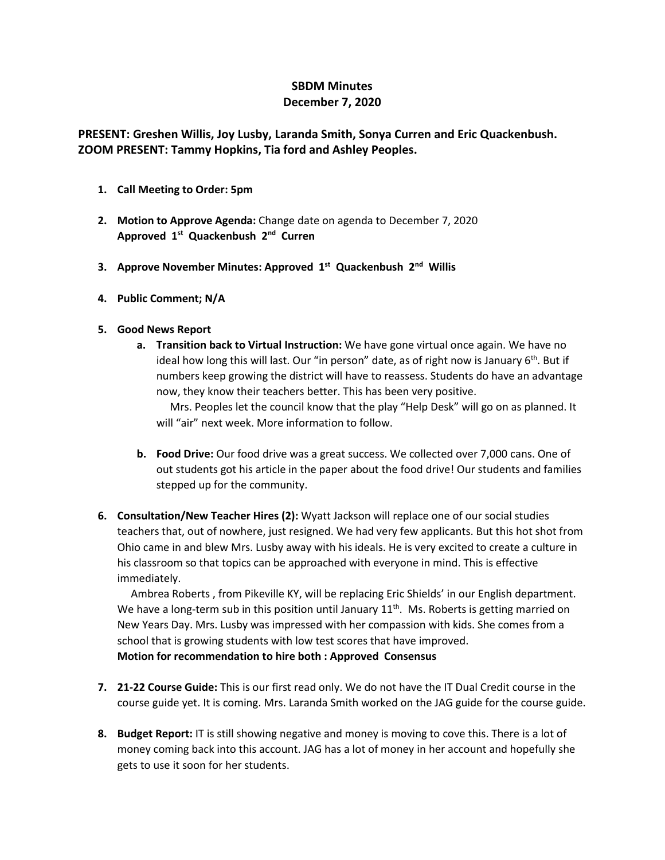# **SBDM Minutes December 7, 2020**

## **PRESENT: Greshen Willis, Joy Lusby, Laranda Smith, Sonya Curren and Eric Quackenbush. ZOOM PRESENT: Tammy Hopkins, Tia ford and Ashley Peoples.**

- **1. Call Meeting to Order: 5pm**
- **2. Motion to Approve Agenda:** Change date on agenda to December 7, 2020 **Approved 1st Quackenbush 2nd Curren**
- **3. Approve November Minutes: Approved 1st Quackenbush 2nd Willis**
- **4. Public Comment; N/A**

### **5. Good News Report**

**a. Transition back to Virtual Instruction:** We have gone virtual once again. We have no ideal how long this will last. Our "in person" date, as of right now is January  $6<sup>th</sup>$ . But if numbers keep growing the district will have to reassess. Students do have an advantage now, they know their teachers better. This has been very positive.

 Mrs. Peoples let the council know that the play "Help Desk" will go on as planned. It will "air" next week. More information to follow.

- **b. Food Drive:** Our food drive was a great success. We collected over 7,000 cans. One of out students got his article in the paper about the food drive! Our students and families stepped up for the community.
- **6. Consultation/New Teacher Hires (2):** Wyatt Jackson will replace one of our social studies teachers that, out of nowhere, just resigned. We had very few applicants. But this hot shot from Ohio came in and blew Mrs. Lusby away with his ideals. He is very excited to create a culture in his classroom so that topics can be approached with everyone in mind. This is effective immediately.

 Ambrea Roberts , from Pikeville KY, will be replacing Eric Shields' in our English department. We have a long-term sub in this position until January  $11<sup>th</sup>$ . Ms. Roberts is getting married on New Years Day. Mrs. Lusby was impressed with her compassion with kids. She comes from a school that is growing students with low test scores that have improved. **Motion for recommendation to hire both : Approved Consensus**

- **7. 21-22 Course Guide:** This is our first read only. We do not have the IT Dual Credit course in the course guide yet. It is coming. Mrs. Laranda Smith worked on the JAG guide for the course guide.
- **8. Budget Report:** IT is still showing negative and money is moving to cove this. There is a lot of money coming back into this account. JAG has a lot of money in her account and hopefully she gets to use it soon for her students.